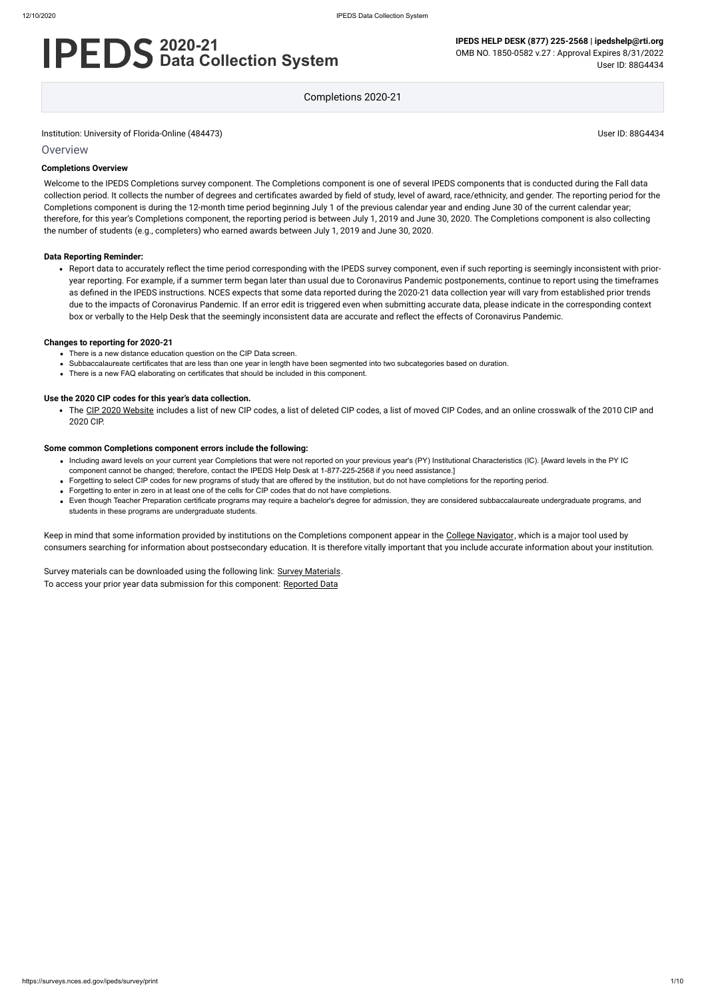### Institution: University of Florida-Online (484473) User ID: 88G4434

**Overview** 

# **2020-21 Data Collection System**

**IPEDS HELP DESK (877) 225-2568 | ipedshelp@rti.org** OMB NO. 1850-0582 v.27 : Approval Expires 8/31/2022 User ID: 88G4434

Completions 2020-21

#### **Completions Overview**

Welcome to the IPEDS Completions survey component. The Completions component is one of several IPEDS components that is conducted during the Fall data collection period. It collects the number of degrees and certificates awarded by field of study, level of award, race/ethnicity, and gender. The reporting period for the Completions component is during the 12-month time period beginning July 1 of the previous calendar year and ending June 30 of the current calendar year; therefore, for this year's Completions component, the reporting period is between July 1, 2019 and June 30, 2020. The Completions component is also collecting the number of students (e.g., completers) who earned awards between July 1, 2019 and June 30, 2020.

- There is a new distance education question on the CIP Data screen.
- Subbaccalaureate certificates that are less than one year in length have been segmented into two subcategories based on duration.
- There is a new FAQ elaborating on certificates that should be included in this component.

#### **Data Reporting Reminder:**

• The CIP [2020 Website](https://nces.ed.gov/ipeds/cipcode/Default.aspx?y=56) includes a list of new CIP codes, a list of deleted CIP codes, a list of moved CIP Codes, and an online crosswalk of the 2010 CIP and 2020 CIP.

Report data to accurately reflect the time period corresponding with the IPEDS survey component, even if such reporting is seemingly inconsistent with prioryear reporting. For example, if a summer term began later than usual due to Coronavirus Pandemic postponements, continue to report using the timeframes as defined in the IPEDS instructions. NCES expects that some data reported during the 2020-21 data collection year will vary from established prior trends due to the impacts of Coronavirus Pandemic. If an error edit is triggered even when submitting accurate data, please indicate in the corresponding context box or verbally to the Help Desk that the seemingly inconsistent data are accurate and reflect the effects of Coronavirus Pandemic.

Keep in mind that some information provided by institutions on the Completions component appear in the [College Navigator,](http://collegenavigator.ed.gov/) which is a major tool used by consumers searching for information about postsecondary education. It is therefore vitally important that you include accurate information about your institution.

Survey materials can be downloaded using the following link: Survey Materials To access your prior year data submission for this component: [Reported Data](https://surveys.nces.ed.gov/IPEDS_py/DataForms.aspx?f0e9e4efc4dfb8afb3afafb2aea1eef0edf1e0f4c4dfb8acaba1f0eee0edc4dfb8b3b3c2afafaeafa1f0e9e4efc9dce8e0b8d0e9e4f1e0edeee4eff49beae19bc1e7eaede4dfdca8cae9e7e4e9e0a1ebedeadee0eeeeb8e0f3efe0ede9dce7a1eddfefb8acadaaacabaaadabadab9bb0b5adb0b5acb49bcbc8)

#### **Changes to reporting for 2020-21**

#### **Use the 2020 CIP codes for this year's data collection.**

#### **Some common Completions component errors include the following:**

- Including award levels on your current year Completions that were not reported on your previous year's (PY) Institutional Characteristics (IC). [Award levels in the PY IC component cannot be changed; therefore, contact the IPEDS Help Desk at 1-877-225-2568 if you need assistance.]
- Forgetting to select CIP codes for new programs of study that are offered by the institution, but do not have completions for the reporting period.
- Forgetting to enter in zero in at least one of the cells for CIP codes that do not have completions.
- Even though Teacher Preparation certificate programs may require a bachelor's degree for admission, they are considered subbaccalaureate undergraduate programs, and students in these programs are undergraduate students.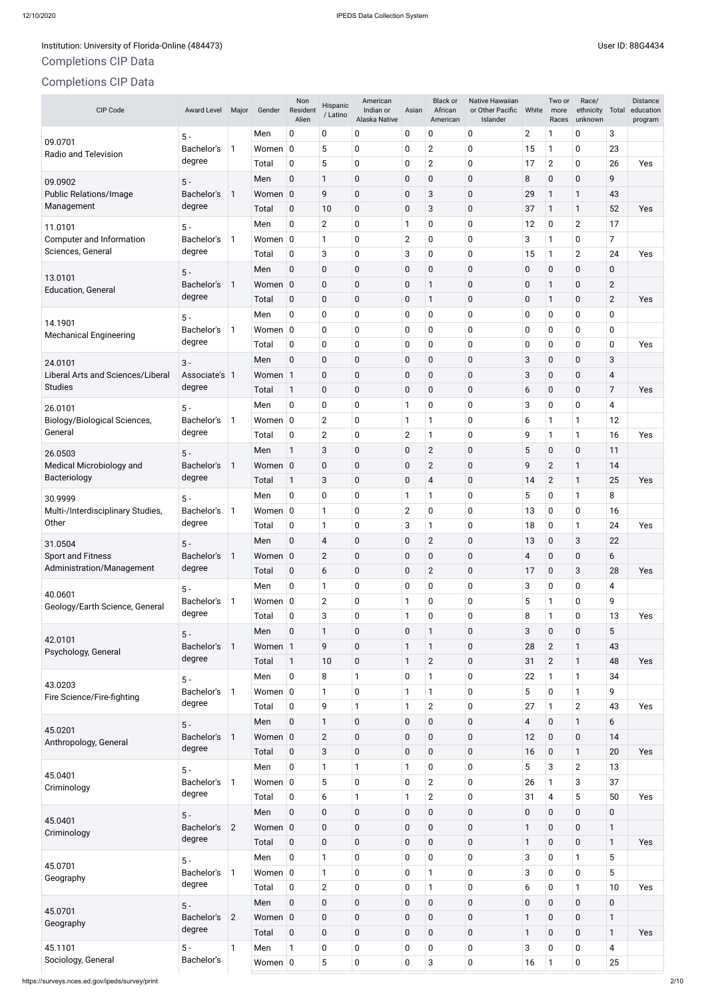## Institution: University of Florida-Online (484473) Channel Communication: User ID: 88G4434

# Completions CIP Data

# Completions CIP Data

| CIP Code                                   | <b>Award Level</b>   | Major          | Gender          | Non<br>Resident<br>Alien | Hispanic<br>/ Latino | American<br>Indian or<br>Alaska Native | Asian            | <b>Black or</b><br>African<br>American | <b>Native Hawaiian</b><br>or Other Pacific<br>Islander | White          | Two or<br>more<br>Races | Race/<br>ethnicity<br>unknown | Total          | <b>Distance</b><br>education<br>program |
|--------------------------------------------|----------------------|----------------|-----------------|--------------------------|----------------------|----------------------------------------|------------------|----------------------------------------|--------------------------------------------------------|----------------|-------------------------|-------------------------------|----------------|-----------------------------------------|
|                                            | $5 -$                |                | Men             | 0                        | $\mathbf 0$          | 0                                      | 0                | 0                                      | $\mathbf 0$                                            | $\overline{2}$ | 1                       | 0                             | 3              |                                         |
| 09.0701<br>Radio and Television            | Bachelor's           | 1              | Women           | $\overline{0}$           | 5                    | 0                                      | 0                | $\mathbf{2}$                           | $\pmb{0}$                                              | 15             | 1                       | $\mathbf 0$                   | 23             |                                         |
|                                            | degree               |                | Total           | 0                        | 5                    | 0                                      | 0                | $\overline{2}$                         | $\mathbf 0$                                            | 17             | $\overline{2}$          | $\mathbf 0$                   | 26             | Yes                                     |
| 09.0902                                    | $5 -$                |                | Men             | 0                        | $\mathbf{1}$         | 0                                      | 0                | $\pmb{0}$                              | $\pmb{0}$                                              | 8              | $\pmb{0}$               | $\pmb{0}$                     | 9              |                                         |
| <b>Public Relations/Image</b>              | Bachelor's           | 1              | Women 0         |                          | 9                    | 0                                      | 0                | 3                                      | $\mathbf 0$                                            | 29             |                         | $\mathbf{1}$                  | 43             |                                         |
| Management                                 | degree               |                | Total           | 0                        | 10                   | 0                                      | 0                | 3                                      | $\pmb{0}$                                              | 37             | 1                       | $\mathbf{1}$                  | 52             | Yes                                     |
| 11.0101                                    | $5 -$                |                | Men             | 0                        | $\overline{2}$       | 0                                      | 1                | 0                                      | $\mathbf 0$                                            | 12             | $\pmb{0}$               | $\overline{2}$                | 17             |                                         |
| Computer and Information                   | Bachelor's           | 1              | Women           | $\overline{0}$           | 1                    | 0                                      | $\overline{2}$   | 0                                      | $\mathbf 0$                                            | 3              | 1                       | 0                             | 7              |                                         |
| Sciences, General                          | degree               |                | Total           | 0                        | 3                    | 0                                      | 3                | 0                                      | $\mathbf 0$                                            | 15             | 1                       | $\overline{2}$                | 24             | Yes                                     |
|                                            | $5 -$                |                | Men             | 0                        | $\mathbf 0$          | 0                                      | 0                | $\pmb{0}$                              | $\mathbf 0$                                            | $\mathbf 0$    | 0                       | $\pmb{0}$                     | 0              |                                         |
| 13.0101                                    | Bachelor's           | 1              | Women 0         |                          | $\mathbf 0$          | 0                                      | 0                |                                        | $\mathbf 0$                                            | $\mathbf 0$    |                         | $\pmb{0}$                     | $\overline{2}$ |                                         |
| <b>Education, General</b>                  | degree               |                | Total           | 0                        | $\mathbf 0$          | 0                                      | 0                |                                        | $\pmb{0}$                                              | $\mathbf 0$    | 1                       | $\pmb{0}$                     | $\overline{2}$ | Yes                                     |
|                                            | $5 -$                |                | Men             | 0                        | $\mathbf 0$          | 0                                      | 0                | 0                                      | $\mathbf 0$                                            | 0              | 0                       | $\mathbf 0$                   | 0              |                                         |
| 14.1901                                    | Bachelor's           | 1              | Women           | $\overline{0}$           | $\mathbf 0$          | 0                                      | 0                | 0                                      | $\mathbf 0$                                            | 0              | 0                       | 0                             | 0              |                                         |
| <b>Mechanical Engineering</b>              | degree               |                | Total           | 0                        | $\mathbf 0$          | 0                                      | 0                | 0                                      | $\mathbf 0$                                            | $\mathbf 0$    | 0                       | 0                             | 0              | Yes                                     |
| 24.0101                                    | $3 -$                |                | Men             | 0                        | $\mathbf 0$          | 0                                      | 0                | $\pmb{0}$                              | $\mathbf 0$                                            | $\sqrt{3}$     | 0                       | $\pmb{0}$                     | 3              |                                         |
| Liberal Arts and Sciences/Liberal          | Associate's 1        |                | Women 1         |                          | $\mathbf 0$          | 0                                      | 0                | $\mathbf 0$                            | $\mathbf 0$                                            | $\sqrt{3}$     | 0                       | $\pmb{0}$                     | $\overline{4}$ |                                         |
| <b>Studies</b>                             | degree               |                | Total           | 1                        | $\mathbf 0$          | 0                                      | 0                | $\mathbf 0$                            | $\mathbf 0$                                            | 6              | 0                       | $\pmb{0}$                     | $\overline{7}$ | Yes                                     |
|                                            |                      |                | Men             | 0                        | 0                    | 0                                      | 1                | 0                                      | $\mathbf 0$                                            | 3              | 0                       | 0                             | 4              |                                         |
| 26.0101<br>Biology/Biological Sciences,    | $5 -$<br>Bachelor's  | 1              | Women           | $\overline{0}$           | $\overline{2}$       | 0                                      | 1                |                                        | $\mathbf 0$                                            | 6              | 1                       | 1                             | 12             |                                         |
| General                                    | degree               |                | Total           | 0                        | $\mathbf{2}$         | 0                                      | $\overline{2}$   |                                        | $\mathbf 0$                                            | 9              |                         | $\mathbf{1}$                  | 16             | Yes                                     |
|                                            |                      |                | Men             | 1                        | 3                    | 0                                      | 0                | $\mathbf{2}$                           | $\pmb{0}$                                              | 5              | 0                       | $\pmb{0}$                     | 11             |                                         |
| 26.0503                                    | $5 -$                |                | Women 0         |                          | $\mathbf 0$          | 0                                      | 0                | $\overline{2}$                         | $\mathbf 0$                                            | 9              | $\overline{c}$          | $\mathbf{1}$                  | 14             |                                         |
| Medical Microbiology and<br>Bacteriology   | Bachelor's<br>degree | 1              |                 |                          |                      |                                        |                  |                                        |                                                        |                |                         |                               |                |                                         |
|                                            |                      |                | Total           | 1                        | 3                    | $\pmb{0}$                              | 0                | $\overline{4}$                         | $\pmb{0}$                                              | 14             | $\mathbf{2}$            | $\mathbf{1}$                  | 25             | Yes                                     |
| 30.9999                                    | $5 -$                |                | Men             | 0                        | $\pmb{0}$            | 0                                      | 1                |                                        | $\mathbf 0$                                            | 5              | 0                       | $\mathbf{1}$                  | 8              |                                         |
| Multi-/Interdisciplinary Studies,<br>Other | Bachelor's<br>degree | 1              | Women           | $\overline{0}$           | $\mathbf{1}$         | 0                                      | $\overline{2}$   | 0                                      | $\mathbf 0$                                            | 13             | 0                       | $\mathbf 0$                   | 16             |                                         |
|                                            |                      |                | Total           | 0                        | $\mathbf{1}$         | 0                                      | 3                |                                        | $\mathbf 0$                                            | 18             | 0                       | $\mathbf{1}$                  | 24             | Yes                                     |
| 31.0504                                    | $5 -$<br>Bachelor's  |                | Men             | 0                        | 4                    | 0                                      | 0                | $\overline{2}$                         | $\mathbf 0$                                            | 13             | $\pmb{0}$               | 3                             | 22             |                                         |
| <b>Sport and Fitness</b>                   |                      | 1              | Women           | $\overline{0}$           | $\overline{2}$       | 0                                      | 0                | $\pmb{0}$                              | $\mathbf 0$                                            | 4              | $\pmb{0}$               | $\pmb{0}$                     | 6              |                                         |
| Administration/Management                  | degree               |                | Total           | 0                        | 6                    | 0                                      | 0                | $\overline{2}$                         | $\mathbf 0$                                            | 17             | $\pmb{0}$               | 3                             | 28             | Yes                                     |
| 40.0601                                    | $5 -$                |                | Men             | 0                        | $\mathbf{1}$         | $\pmb{0}$                              | 0                | 0                                      | $\mathbf 0$                                            | $\sqrt{3}$     | 0                       | $\mathbf 0$                   | 4              |                                         |
| Geology/Earth Science, General             | Bachelor's           | 1              | Women           | $\overline{0}$           | $\mathbf{2}$         | 0                                      | 1                | 0                                      | $\mathbf 0$                                            | 5              |                         | $\mathbf 0$                   | 9              |                                         |
|                                            | degree               |                | Total           | 0                        | 3                    | 0                                      | $\mathbf{1}$     | 0                                      | $\pmb{0}$                                              | 8              | 1                       | $\pmb{0}$                     | 13             | Yes                                     |
| 42.0101                                    | $5 -$                |                | Men             | 0                        | $\mathbf{1}$         | 0                                      | 0                |                                        | $\mathbf 0$                                            | $\sqrt{3}$     | 0                       | $\pmb{0}$                     | 5              |                                         |
| Psychology, General                        | Bachelor's           | 1              | Women 1         |                          | 9                    | 0                                      | $\mathbf{1}$     | 1                                      | $\pmb{0}$                                              | 28             | $\overline{2}$          | $\mathbf{1}$                  | 43             |                                         |
|                                            | degree               |                | Total           | $\mathbf{1}$             | 10                   | 0                                      | $\mathbf{1}$     | $\mathbf{2}$                           | $\pmb{0}$                                              | 31             | $\overline{2}$          | $\mathbf{1}$                  | 48             | Yes                                     |
| 43.0203                                    | $5 -$                |                | Men             | 0                        | 8                    | 1                                      | 0                |                                        | $\pmb{0}$                                              | 22             | 1                       | $\mathbf{1}$                  | 34             |                                         |
| Fire Science/Fire-fighting                 | Bachelor's           | 1              | Women           | $\overline{0}$           | $\mathbf{1}$         | 0                                      | 1                |                                        | $\mathbf 0$                                            | 5              | 0                       | $\mathbf{1}$                  | 9              |                                         |
|                                            | degree               |                | Total           | 0                        | 9                    | 1                                      | $\mathbf{1}$     | $\overline{2}$                         | $\mathbf 0$                                            | 27             | 1                       | $\overline{2}$                | 43             | Yes                                     |
| 45.0201                                    | $5 -$                |                | Men             | 0                        | $\mathbf{1}$         | $\pmb{0}$                              | 0                | $\mathbf 0$                            | $\mathbf 0$                                            | 4              | 0                       | $\mathbf{1}$                  | 6              |                                         |
| Anthropology, General                      | Bachelor's           | 1              | Women           | $\overline{0}$           | $\overline{2}$       | 0                                      | 0                | $\mathbf 0$                            | $\mathbf 0$                                            | 12             | $\pmb{0}$               | $\pmb{0}$                     | 14             |                                         |
|                                            | degree               |                | Total           | 0                        | 3                    | 0                                      | 0                | $\mathbf 0$                            | $\mathbf 0$                                            | 16             | $\pmb{0}$               | $\mathbf{1}$                  | 20             | Yes                                     |
|                                            | $5 -$                |                | Men             | 0                        | $\mathbf{1}$         | 1                                      | 1                | 0                                      | $\pmb{0}$                                              | 5              | 3                       | $\overline{2}$                | 13             |                                         |
| 45.0401<br>Criminology                     | Bachelor's           | 1              | Women           | $\overline{0}$           | 5                    | 0                                      | 0                | $\overline{2}$                         | $\mathbf 0$                                            | 26             | 1                       | $\mathbf{3}$                  | 37             |                                         |
|                                            | degree               |                | Total           | 0                        | 6                    | 1                                      | $\mathbf{1}$     | $\overline{2}$                         | $\pmb{0}$                                              | 31             | 4                       | 5                             | 50             | Yes                                     |
|                                            | $5 -$                |                | Men             | 0                        | $\pmb{0}$            | $\pmb{0}$                              | 0                | $\pmb{0}$                              | $\mathbf 0$                                            | $\mathbf 0$    | 0                       | $\mathbf 0$                   | 0              |                                         |
| 45.0401                                    | Bachelor's           | $\overline{2}$ | Women           | $\overline{0}$           | $\mathbf 0$          | $\pmb{0}$                              | 0                | $\mathbf 0$                            | $\pmb{0}$                                              | $\mathbf{1}$   | 0                       | $\pmb{0}$                     | $\mathbf{1}$   |                                         |
| Criminology                                | degree               |                | Total           | 0                        | $\pmb{0}$            | 0                                      | 0                | $\pmb{0}$                              | $\mathbf 0$                                            | 1              | 0                       | $\boldsymbol{0}$              | $\mathbf{1}$   | Yes                                     |
|                                            | $5 -$                |                | Men             | $\pmb{0}$                | $\mathbf{1}$         | $\pmb{0}$                              | 0                | $\pmb{0}$                              | $\mathbf 0$                                            | $\mathbf{3}$   | $\mathbf 0$             | $\mathbf{1}$                  | 5              |                                         |
| 45.0701                                    | Bachelor's           | $\mathbf{1}$   | Women $ 0 $     |                          | $\mathbf{1}$         | $\pmb{0}$                              | 0                |                                        | $\pmb{0}$                                              | $\mathbf{3}$   | $\mathbf 0$             | $\pmb{0}$                     | 5              |                                         |
| Geography                                  | degree               |                | Total           | $\pmb{0}$                | $\overline{2}$       | $\pmb{0}$                              | 0                |                                        | $\mathbf 0$                                            | 6              | $\mathbf 0$             | $\mathbf{1}$                  | 10             | Yes                                     |
|                                            | $5 -$                |                | Men             | $\mathbf 0$              | $\pmb{0}$            | $\pmb{0}$                              | $\boldsymbol{0}$ | $\pmb{0}$                              | $\mathbf 0$                                            | $\pmb{0}$      | $\mathbf 0$             | $\pmb{0}$                     | $\mathbf 0$    |                                         |
| 45.0701                                    | Bachelor's           | $\overline{2}$ | Women $\vert$ 0 |                          | $\pmb{0}$            | $\pmb{0}$                              | $\boldsymbol{0}$ | $\mathbf 0$                            | $\mathbf 0$                                            | $\mathbf{1}$   | $\mathbf 0$             | $\pmb{0}$                     | $\mathbf{1}$   |                                         |
| Geography                                  | degree               |                | Total           | $\pmb{0}$                | $\pmb{0}$            | $\pmb{0}$                              | $\boldsymbol{0}$ | $\pmb{0}$                              | $\pmb{0}$                                              | $\mathbf{1}$   | $\mathbf 0$             | $\pmb{0}$                     | $\mathbf{1}$   | Yes                                     |
| 45.1101                                    | $5 -$                | $\mathbf{1}$   | Men             | $\mathbf{1}$             | $\pmb{0}$            | $\pmb{0}$                              | 0                | $\mathbf 0$                            | $\mathbf 0$                                            | $\mathbf{3}$   | $\mathbf 0$             | $\pmb{0}$                     | $\overline{4}$ |                                         |
| Sociology, General                         | Bachelor's           |                | Women $ 0$      |                          | 5                    | $\pmb{0}$                              | 0                | 3                                      | $\pmb{0}$                                              | 16             | 1                       | $\pmb{0}$                     | 25             |                                         |
|                                            |                      |                |                 |                          |                      |                                        |                  |                                        |                                                        |                |                         |                               |                |                                         |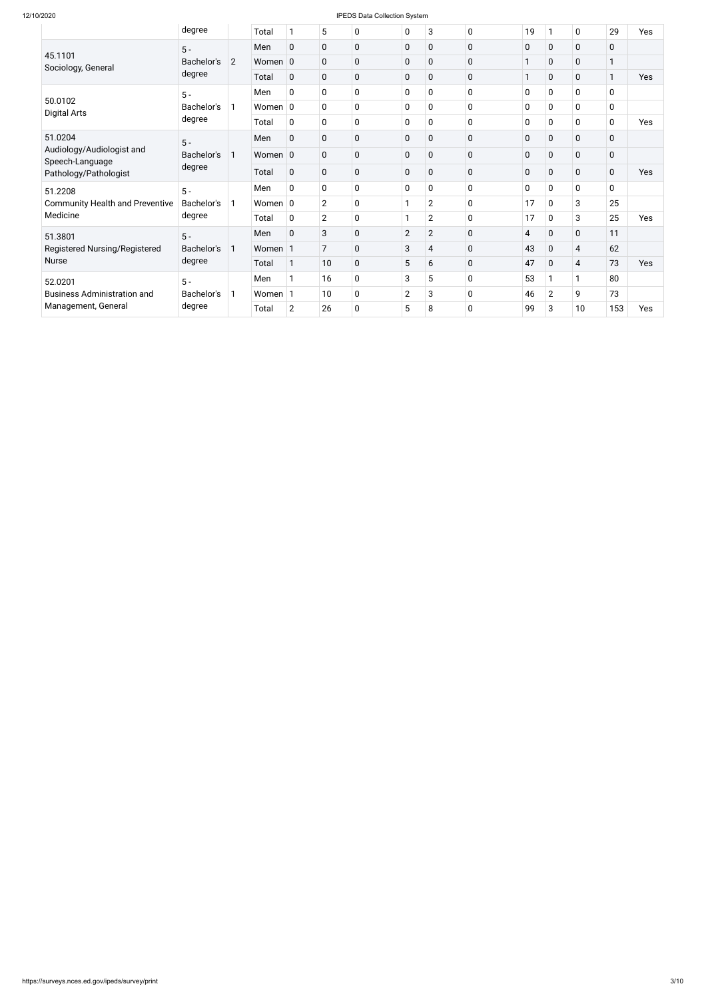#### 12/10/2020 IPEDS Data Collection System

|                                                           | degree               |                | Total      |                | 5              | 0           | $\mathbf 0$    | 3              | $\mathbf 0$    | 19          |                | $\pmb{0}$      | 29           | Yes |
|-----------------------------------------------------------|----------------------|----------------|------------|----------------|----------------|-------------|----------------|----------------|----------------|-------------|----------------|----------------|--------------|-----|
|                                                           | $5 -$                |                | Men        | $\mathbf 0$    | $\mathbf 0$    | $\mathbf 0$ | $\mathbf 0$    | $\mathbf 0$    | $\overline{0}$ | $\mathbf 0$ | 0              | $\mathbf 0$    | 0            |     |
| 45.1101<br>Sociology, General                             | Bachelor's           | $\overline{2}$ | Women 0    |                | $\mathbf 0$    | $\pmb{0}$   | $\pmb{0}$      | $\mathbf 0$    | $\mathbf 0$    | 1           | 0              | $\pmb{0}$      | $\mathbf{1}$ |     |
|                                                           | degree               |                | Total      | 0              | 0              | $\pmb{0}$   | 0              | $\mathbf 0$    | $\pmb{0}$      | 1           | 0              | $\pmb{0}$      | $\mathbf 1$  | Yes |
|                                                           | $5 -$                | 1              | Men        | 0              | $\mathbf 0$    | 0           | 0              | $\mathbf 0$    | $\mathbf 0$    | $\mathbf 0$ | 0              | $\mathbf 0$    | $\mathbf 0$  |     |
| 50.0102<br><b>Digital Arts</b>                            | Bachelor's           |                | Women $ 0$ |                | 0              | 0           | 0              | $\mathbf{0}$   | $\mathbf 0$    | 0           | 0              | $\mathbf 0$    | $\mathbf 0$  |     |
|                                                           | degree               |                | Total      | 0              | 0              | 0           | 0              | $\mathbf 0$    | $\mathbf 0$    | 0           | 0              | $\pmb{0}$      | 0            | Yes |
| 51.0204                                                   | $5 -$                |                | Men        | 0              | $\mathbf 0$    | $\mathbf 0$ | $\mathbf 0$    | $\mathbf{0}$   | $\mathbf 0$    | $\mathbf 0$ | 0              | $\pmb{0}$      | $\mathbf 0$  |     |
| Audiology/Audiologist and<br>Speech-Language              | Bachelor's<br>degree | 1              | Women 0    |                | 0              | $\mathbf 0$ | 0              | 0              | $\mathbf 0$    | $\mathbf 0$ | 0              | $\mathbf 0$    | 0            |     |
| Pathology/Pathologist                                     |                      |                | Total      | 0              | $\mathbf 0$    | 0           | 0              | 0              | $\mathbf 0$    | $\mathbf 0$ | 0              | $\pmb{0}$      | 0            | Yes |
| 51.2208                                                   | $5 -$                | 1              | Men        | $\mathbf 0$    | 0              | $\mathbf 0$ | 0              | $\mathbf 0$    | $\mathbf 0$    | $\mathbf 0$ | $\mathbf 0$    | $\mathbf 0$    | $\mathbf 0$  |     |
| <b>Community Health and Preventive</b>                    | Bachelor's           |                | Women 0    |                | $\overline{2}$ | 0           | $\mathbf{1}$   | $\overline{2}$ | $\mathbf 0$    | 17          | $\mathbf 0$    | 3              | 25           |     |
| Medicine                                                  | degree               |                | Total      | 0              | $\overline{2}$ | 0           | $\mathbf{1}$   | $\overline{2}$ | $\mathbf 0$    | 17          | 0              | $\mathbf{3}$   | 25           | Yes |
| 51.3801                                                   | $5 -$                |                | Men        | 0              | 3              | $\mathbf 0$ | $\overline{2}$ | $\overline{2}$ | $\mathbf 0$    | 4           | 0              | $\mathbf 0$    | 11           |     |
| Registered Nursing/Registered                             | Bachelor's           | 1              | Women      | 1              | 7              | $\mathbf 0$ | 3              | 4              | $\mathbf 0$    | 43          | $\mathbf 0$    | $\overline{4}$ | 62           |     |
| <b>Nurse</b>                                              | degree               |                | Total      |                | 10             | $\mathbf 0$ | 5              | 6              | $\mathbf 0$    | 47          | $\mathbf 0$    | $\overline{4}$ | 73           | Yes |
| 52.0201                                                   | $5 -$                |                | Men        |                | 16             | $\mathbf 0$ | 3              | 5              | $\mathbf 0$    | 53          |                | $\mathbf{1}$   | 80           |     |
| <b>Business Administration and</b><br>Management, General | Bachelor's           | 1              | Women      | 1              | 10             | 0           | $\overline{2}$ | 3              | $\mathbf 0$    | 46          | $\overline{2}$ | 9              | 73           |     |
|                                                           | degree               |                | Total      | $\overline{2}$ | 26             | $\mathbf 0$ | 5              | 8              | $\mathbf 0$    | 99          | 3              | 10             | 153          | Yes |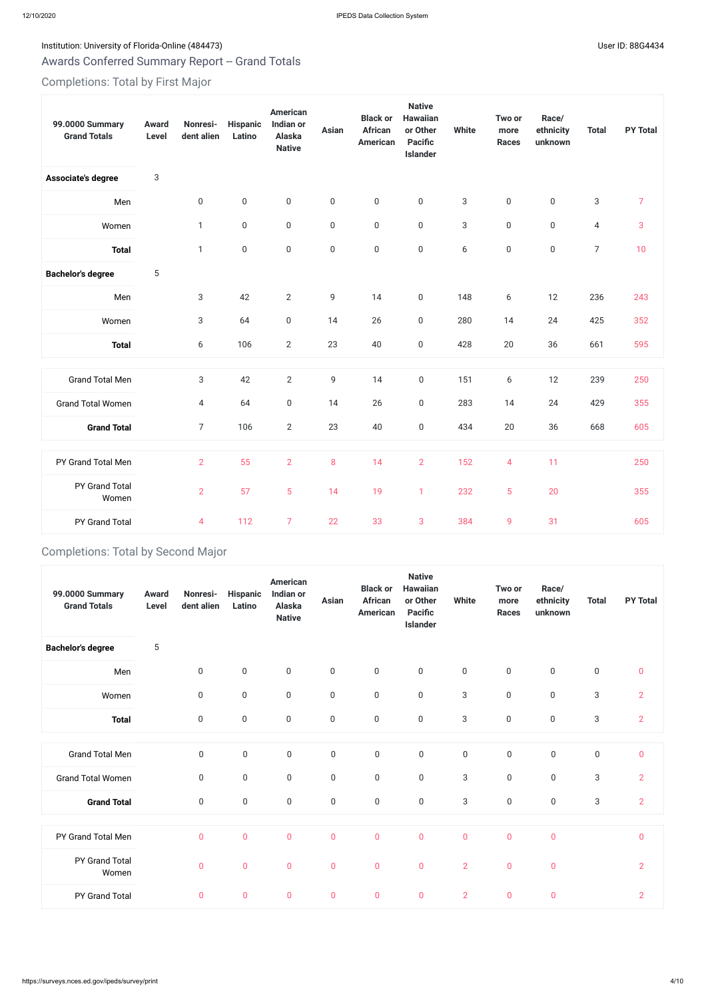## Institution: University of Florida-Online (484473) Channel States and States and States and User ID: 88G4434

# Awards Conferred Summary Report -- Grand Totals

# Completions: Total by First Major

| 99.0000 Summary<br><b>Grand Totals</b> | Award<br>Level | Nonresi-<br>dent alien | <b>Hispanic</b><br>Latino | <b>American</b><br>Indian or<br>Alaska<br><b>Native</b> | <b>Asian</b>     | <b>Black or</b><br><b>African</b><br><b>American</b> | <b>Native</b><br><b>Hawaiian</b><br>or Other<br><b>Pacific</b><br><b>Islander</b> | <b>White</b>   | Two or<br>more<br><b>Races</b> | Race/<br>ethnicity<br>unknown | <b>Total</b>   | <b>PY Total</b> |
|----------------------------------------|----------------|------------------------|---------------------------|---------------------------------------------------------|------------------|------------------------------------------------------|-----------------------------------------------------------------------------------|----------------|--------------------------------|-------------------------------|----------------|-----------------|
| Associate's degree                     | $\sqrt{3}$     |                        |                           |                                                         |                  |                                                      |                                                                                   |                |                                |                               |                |                 |
| Men                                    |                | $\boldsymbol{0}$       | $\boldsymbol{0}$          | $\boldsymbol{0}$                                        | $\boldsymbol{0}$ | $\boldsymbol{0}$                                     | $\boldsymbol{0}$                                                                  | 3              | $\mathbf 0$                    | $\boldsymbol{0}$              | $\sqrt{3}$     | $\overline{7}$  |
| Women                                  |                | $\mathbf{1}$           | $\boldsymbol{0}$          | $\boldsymbol{0}$                                        | $\boldsymbol{0}$ | $\boldsymbol{0}$                                     | $\pmb{0}$                                                                         | $\mathfrak{S}$ | $\boldsymbol{0}$               | $\boldsymbol{0}$              | $\overline{4}$ | 3               |
| <b>Total</b>                           |                | $\mathbf{1}$           | $\mathsf 0$               | $\boldsymbol{0}$                                        | $\boldsymbol{0}$ | $\boldsymbol{0}$                                     | $\pmb{0}$                                                                         | $6\,$          | $\boldsymbol{0}$               | $\boldsymbol{0}$              | $\overline{7}$ | 10              |
| <b>Bachelor's degree</b>               | $\,$ 5 $\,$    |                        |                           |                                                         |                  |                                                      |                                                                                   |                |                                |                               |                |                 |
| Men                                    |                | $\sqrt{3}$             | 42                        | $\mathbf{2}$                                            | $\mathsf g$      | 14                                                   | $\boldsymbol{0}$                                                                  | 148            | 6                              | 12                            | 236            | 243             |
| Women                                  |                | $\sqrt{3}$             | 64                        | $\boldsymbol{0}$                                        | 14               | 26                                                   | $\boldsymbol{0}$                                                                  | 280            | 14                             | 24                            | 425            | 352             |
| <b>Total</b>                           |                | $\boldsymbol{6}$       | 106                       | $\overline{2}$                                          | 23               | 40                                                   | $\boldsymbol{0}$                                                                  | 428            | 20                             | 36                            | 661            | 595             |
| <b>Grand Total Men</b>                 |                | 3                      | 42                        | $\overline{2}$                                          | $\overline{9}$   | 14                                                   | $\boldsymbol{0}$                                                                  | 151            | 6                              | 12                            | 239            | 250             |
| <b>Grand Total Women</b>               |                | $\overline{4}$         | 64                        | $\boldsymbol{0}$                                        | 14               | 26                                                   | $\boldsymbol{0}$                                                                  | 283            | 14                             | 24                            | 429            | 355             |
| <b>Grand Total</b>                     |                | $\overline{7}$         | 106                       | $\overline{2}$                                          | 23               | 40                                                   | $\boldsymbol{0}$                                                                  | 434            | $20\,$                         | 36                            | 668            | 605             |
| PY Grand Total Men                     |                | $\overline{2}$         | 55                        | $\overline{2}$                                          | 8                | 14                                                   | $\overline{2}$                                                                    | 152            | $\overline{4}$                 | 11                            |                | 250             |
| PY Grand Total<br>Women                |                | $\overline{2}$         | 57                        | 5                                                       | 14               | 19                                                   | $\mathbf{1}$                                                                      | 232            | 5                              | 20                            |                | 355             |
| PY Grand Total                         |                | $\overline{4}$         | 112                       | $\overline{7}$                                          | 22               | 33                                                   | 3                                                                                 | 384            | 9                              | 31                            |                | 605             |

# Completions: Total by Second Major

| 99.0000 Summary<br><b>Grand Totals</b> | <b>Award</b><br><b>Level</b> | Nonresi-<br>dent alien | <b>Hispanic</b><br>Latino | <b>American</b><br>Indian or<br>Alaska<br><b>Native</b> | <b>Asian</b>     | <b>Black or</b><br><b>African</b><br><b>American</b> | <b>Native</b><br><b>Hawaiian</b><br>or Other<br><b>Pacific</b><br><b>Islander</b> | <b>White</b>     | Two or<br>more<br><b>Races</b> | Race/<br>ethnicity<br>unknown | <b>Total</b>              | <b>PY Total</b> |
|----------------------------------------|------------------------------|------------------------|---------------------------|---------------------------------------------------------|------------------|------------------------------------------------------|-----------------------------------------------------------------------------------|------------------|--------------------------------|-------------------------------|---------------------------|-----------------|
| <b>Bachelor's degree</b>               | 5                            |                        |                           |                                                         |                  |                                                      |                                                                                   |                  |                                |                               |                           |                 |
| Men                                    |                              | $\mathbf 0$            | $\boldsymbol{0}$          | $\mathbf 0$                                             | $\boldsymbol{0}$ | $\mathsf 0$                                          | $\mathbf 0$                                                                       | $\mathbf 0$      | $\mathbf 0$                    | $\mathbf 0$                   | $\boldsymbol{0}$          | $\mathbf 0$     |
| Women                                  |                              | $\boldsymbol{0}$       | $\boldsymbol{0}$          | $\boldsymbol{0}$                                        | $\boldsymbol{0}$ | $\boldsymbol{0}$                                     | $\boldsymbol{0}$                                                                  | $\sqrt{3}$       | 0                              | $\boldsymbol{0}$              | $\sqrt{3}$                | $\overline{2}$  |
| <b>Total</b>                           |                              | $\mathbf 0$            | $\boldsymbol{0}$          | $\mathbf 0$                                             | 0                | $\mathbf 0$                                          | $\boldsymbol{0}$                                                                  | 3                | 0                              | $\boldsymbol{0}$              | 3                         | $\overline{2}$  |
| <b>Grand Total Men</b>                 |                              | $\boldsymbol{0}$       | $\boldsymbol{0}$          | $\mathbf 0$                                             | $\boldsymbol{0}$ | $\boldsymbol{0}$                                     | $\boldsymbol{0}$                                                                  | $\boldsymbol{0}$ | $\boldsymbol{0}$               | $\boldsymbol{0}$              | $\boldsymbol{0}$          | $\pmb{0}$       |
| <b>Grand Total Women</b>               |                              | $\pmb{0}$              | $\mathbf 0$               | $\boldsymbol{0}$                                        | $\boldsymbol{0}$ | $\mathbf 0$                                          | $\boldsymbol{0}$                                                                  | 3                | 0                              | $\boldsymbol{0}$              | $\sqrt{3}$                | $\overline{2}$  |
| <b>Grand Total</b>                     |                              | $\boldsymbol{0}$       | $\mathbf 0$               | 0                                                       | $\boldsymbol{0}$ | $\boldsymbol{0}$                                     | $\mathbf 0$                                                                       | 3                | 0                              | $\boldsymbol{0}$              | $\ensuremath{\mathsf{3}}$ | $\overline{2}$  |
| PY Grand Total Men                     |                              | $\pmb{0}$              | $\pmb{0}$                 | $\mathbf 0$                                             | $\mathbf 0$      | $\mathbf 0$                                          | $\pmb{0}$                                                                         | $\mathbf 0$      | $\mathbf 0$                    | $\bf 0$                       |                           | $\pmb{0}$       |
| PY Grand Total<br>Women                |                              | $\pmb{0}$              | $\mathbf 0$               | $\overline{0}$                                          | $\mathbf 0$      | $\mathbf 0$                                          | $\pmb{0}$                                                                         | $\overline{2}$   | $\mathbf 0$                    | $\bf{0}$                      |                           | $\overline{2}$  |
| PY Grand Total                         |                              | $\pmb{0}$              | $\pmb{0}$                 | $\overline{0}$                                          | $\mathbf 0$      | $\mathbf 0$                                          | $\pmb{0}$                                                                         | $\overline{2}$   | $\mathbf 0$                    | $\pmb{0}$                     |                           | $\overline{2}$  |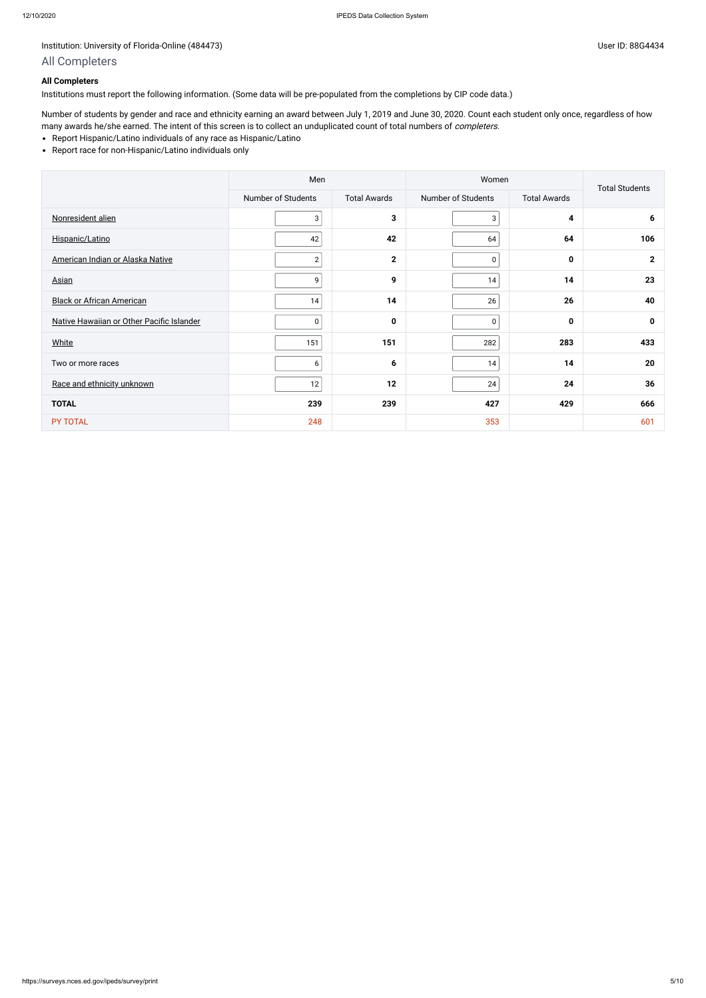### Institution: University of Florida-Online (484473) Channel Assembly 10 and 20 and 20 and 20 and 20 and 20 and 20 and 20 and 20 and 20 and 20 and 20 and 20 and 20 and 20 and 20 and 20 and 20 and 20 and 20 and 20 and 20 and

Number of students by gender and race and ethnicity earning an award between July 1, 2019 and June 30, 2020. Count each student only once, regardless of how many awards he/she earned. The intent of this screen is to collect an unduplicated count of total numbers of completers.

## All Completers

## **All Completers**

Institutions must report the following information. (Some data will be pre-populated from the completions by CIP code data.)

- Report Hispanic/Latino individuals of any race as Hispanic/Latino
- Report race for non-Hispanic/Latino individuals only

|                                           | Men                |                     | Women              |                     | <b>Total Students</b> |  |
|-------------------------------------------|--------------------|---------------------|--------------------|---------------------|-----------------------|--|
|                                           | Number of Students | <b>Total Awards</b> | Number of Students | <b>Total Awards</b> |                       |  |
| Nonresident alien                         | 3                  | $\mathbf{3}$        | $\mathbf{3}$       | 4                   | 6                     |  |
| Hispanic/Latino                           | 42                 | 42                  | 64                 | 64                  | 106                   |  |
| American Indian or Alaska Native          | $\overline{2}$     | $\mathbf{2}$        | $\pmb{0}$          | $\mathbf 0$         | $\mathbf{2}$          |  |
| <b>Asian</b>                              | 9                  | 9                   | 14                 | 14                  | 23                    |  |
| <b>Black or African American</b>          | 14                 | 14                  | 26                 | 26                  | 40                    |  |
| Native Hawaiian or Other Pacific Islander | 0                  | $\pmb{0}$           | $\pmb{0}$          | $\mathbf 0$         | 0                     |  |
| <b>White</b>                              | 151                | 151                 | 282                | 283                 | 433                   |  |
| Two or more races                         | 6                  | 6                   | 14                 | 14                  | 20                    |  |
| Race and ethnicity unknown                | 12                 | 12                  | 24                 | 24                  | 36                    |  |
| <b>TOTAL</b>                              | 239                | 239                 | 427                | 429                 | 666                   |  |
| PY TOTAL                                  | 248                |                     | 353                |                     | 601                   |  |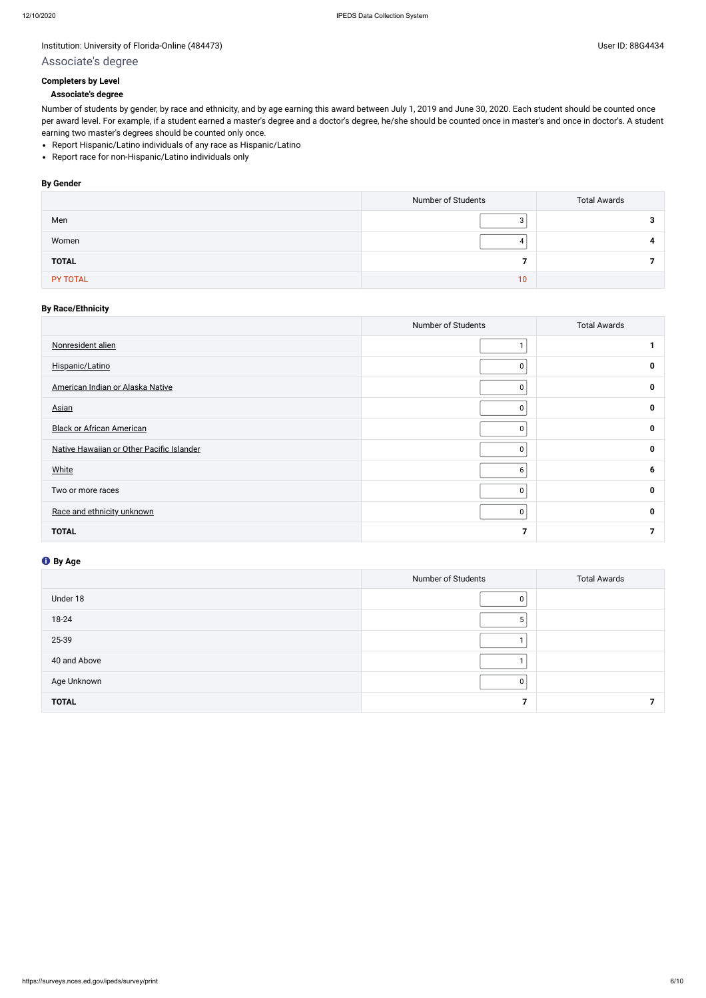### Institution: University of Florida-Online (484473) Channel Assembly 10 and 20 and 20 and 20 and 20 and 20 and 20 and 20 and 20 and 20 and 20 and 20 and 20 and 20 and 20 and 20 and 20 and 20 and 20 and 20 and 20 and 20 and

## Associate's degree

## **Completers by Level**

#### **Associate's degree**

- Report Hispanic/Latino individuals of any race as Hispanic/Latino
- Report race for non-Hispanic/Latino individuals only

Number of students by gender, by race and ethnicity, and by age earning this award between July 1, 2019 and June 30, 2020. Each student should be counted once per award level. For example, if a student earned a master's degree and a doctor's degree, he/she should be counted once in master's and once in doctor's. A student earning two master's degrees should be counted only once.

#### **By Gender**

|              | Number of Students | <b>Total Awards</b> |
|--------------|--------------------|---------------------|
| Men          |                    |                     |
| Women        | 4                  |                     |
| <b>TOTAL</b> |                    |                     |
| PY TOTAL     | 10 <sup>°</sup>    |                     |

## **By Race/Ethnicity**

|                                           | Number of Students | <b>Total Awards</b> |
|-------------------------------------------|--------------------|---------------------|
| Nonresident alien                         |                    |                     |
| Hispanic/Latino                           | 0                  | 0                   |
| American Indian or Alaska Native          | 0                  | 0                   |
| <b>Asian</b>                              | 0                  | 0                   |
| <b>Black or African American</b>          | 0                  | $\mathbf{0}$        |
| Native Hawaiian or Other Pacific Islander | 0                  | 0                   |
| White                                     | 6                  | 6                   |
| Two or more races                         | 0                  | 0                   |
| Race and ethnicity unknown                | 0                  | $\mathbf{0}$        |
| <b>TOTAL</b>                              | 7                  |                     |

## **By Age**

|              | Number of Students | <b>Total Awards</b> |
|--------------|--------------------|---------------------|
| Under 18     | 0                  |                     |
| 18-24        | 5                  |                     |
| 25-39        |                    |                     |
| 40 and Above |                    |                     |
| Age Unknown  | $\Omega$           |                     |
| <b>TOTAL</b> |                    |                     |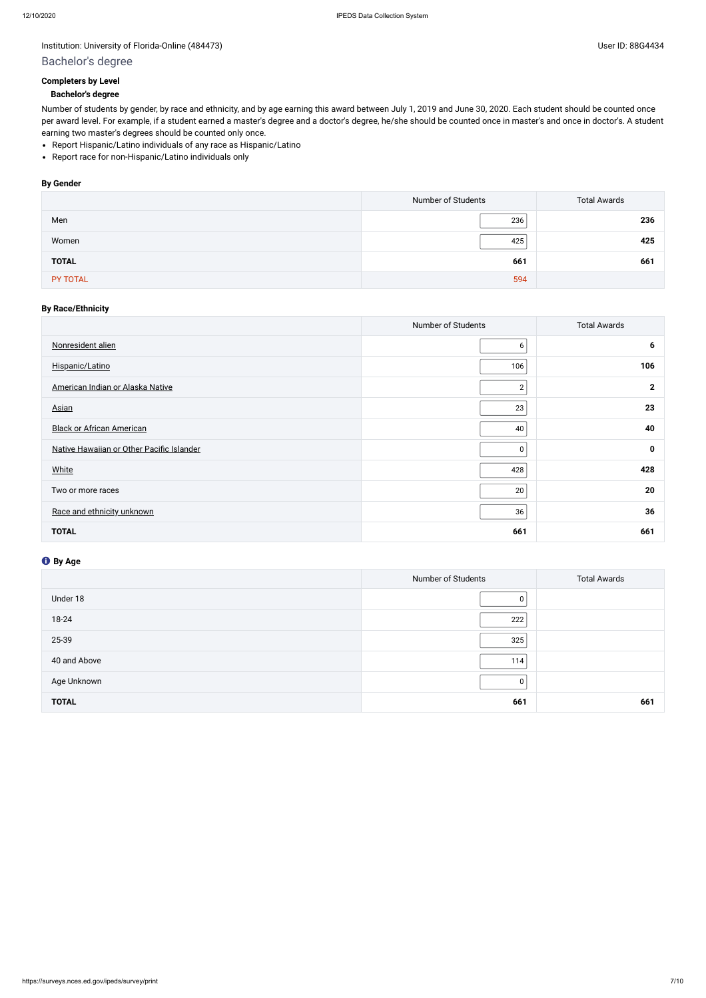## Institution: University of Florida-Online (484473) Channel Assembly of Florida-Online (484473)

## Bachelor's degree

## **Completers by Level**

#### **Bachelor's degree**

- Report Hispanic/Latino individuals of any race as Hispanic/Latino
- Report race for non-Hispanic/Latino individuals only

Number of students by gender, by race and ethnicity, and by age earning this award between July 1, 2019 and June 30, 2020. Each student should be counted once per award level. For example, if a student earned a master's degree and a doctor's degree, he/she should be counted once in master's and once in doctor's. A student earning two master's degrees should be counted only once.

#### **By Gender**

|              | Number of Students | <b>Total Awards</b> |
|--------------|--------------------|---------------------|
| Men          | 236                | 236                 |
| Women        | 425                | 425                 |
| <b>TOTAL</b> | 661                | 661                 |
| PY TOTAL     | 594                |                     |

## **By Race/Ethnicity**

|                                           | Number of Students | <b>Total Awards</b> |
|-------------------------------------------|--------------------|---------------------|
| Nonresident alien                         | 6                  | 6                   |
| Hispanic/Latino                           | 106                | 106                 |
| American Indian or Alaska Native          | $\sqrt{2}$         | $\mathbf{2}$        |
| <b>Asian</b>                              | 23                 | 23                  |
| <b>Black or African American</b>          | 40                 | 40                  |
| Native Hawaiian or Other Pacific Islander | 0                  | $\mathbf 0$         |
| White                                     | 428                | 428                 |
| Two or more races                         | 20                 | 20                  |
| Race and ethnicity unknown                | 36                 | 36                  |
| <b>TOTAL</b>                              | 661                | 661                 |

## **By Age**

|              | Number of Students | <b>Total Awards</b> |
|--------------|--------------------|---------------------|
| Under 18     | 0                  |                     |
| 18-24        | 222                |                     |
| 25-39        | 325                |                     |
| 40 and Above | 114                |                     |
| Age Unknown  | 0                  |                     |
| <b>TOTAL</b> | 661                | 661                 |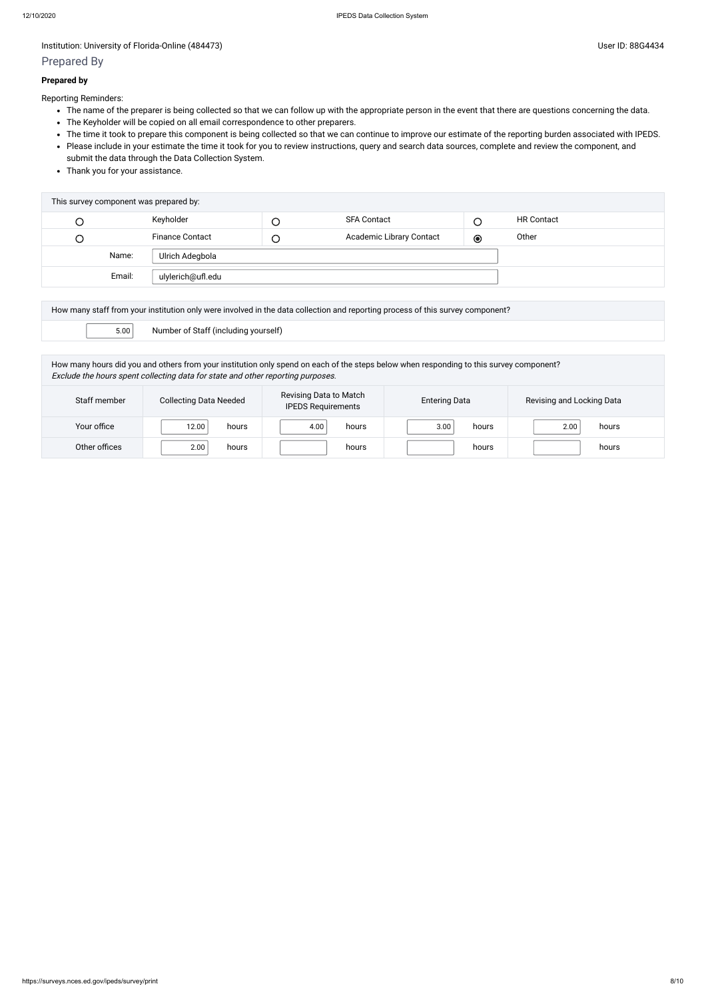#### Institution: University of Florida-Online (484473) Subset ID: 88G4434

## Prepared By

#### **Prepared by**

Reporting Reminders:

- The name of the preparer is being collected so that we can follow up with the appropriate person in the event that there are questions concerning the data.
- The Keyholder will be copied on all email correspondence to other preparers.
- The time it took to prepare this component is being collected so that we can continue to improve our estimate of the reporting burden associated with IPEDS.
- Please include in your estimate the time it took for you to review instructions, query and search data sources, complete and review the component, and submit the data through the Data Collection System.
- Thank you for your assistance.

| This survey component was prepared by: |        |                        |        |                          |           |                   |  |  |  |
|----------------------------------------|--------|------------------------|--------|--------------------------|-----------|-------------------|--|--|--|
| O                                      |        | Keyholder              |        | <b>SFA Contact</b>       |           | <b>HR Contact</b> |  |  |  |
| C                                      |        | <b>Finance Contact</b> | $\cup$ | Academic Library Contact | $\bullet$ | Other             |  |  |  |
|                                        | Name:  | Ulrich Adegbola        |        |                          |           |                   |  |  |  |
|                                        | Email: | ulylerich@ufl.edu      |        |                          |           |                   |  |  |  |
|                                        |        |                        |        |                          |           |                   |  |  |  |

| How many staff from your institution only were involved in the data collection and reporting process of this survey component? |                                      |  |
|--------------------------------------------------------------------------------------------------------------------------------|--------------------------------------|--|
| 5.00                                                                                                                           | Number of Staff (including yourself) |  |

How many hours did you and others from your institution only spend on each of the steps below when responding to this survey component? Exclude the hours spent collecting data for state and other reporting purposes.

| Staff member  | <b>Collecting Data Needed</b> | Revising Data to Match<br><b>IPEDS Requirements</b> | <b>Entering Data</b> | Revising and Locking Data |
|---------------|-------------------------------|-----------------------------------------------------|----------------------|---------------------------|
| Your office   | 12.00<br>hours                | 4.00<br>hours                                       | 3.00<br>hours        | hours<br>2.00             |
| Other offices | 2.00<br>hours                 | hours                                               | hours                | hours                     |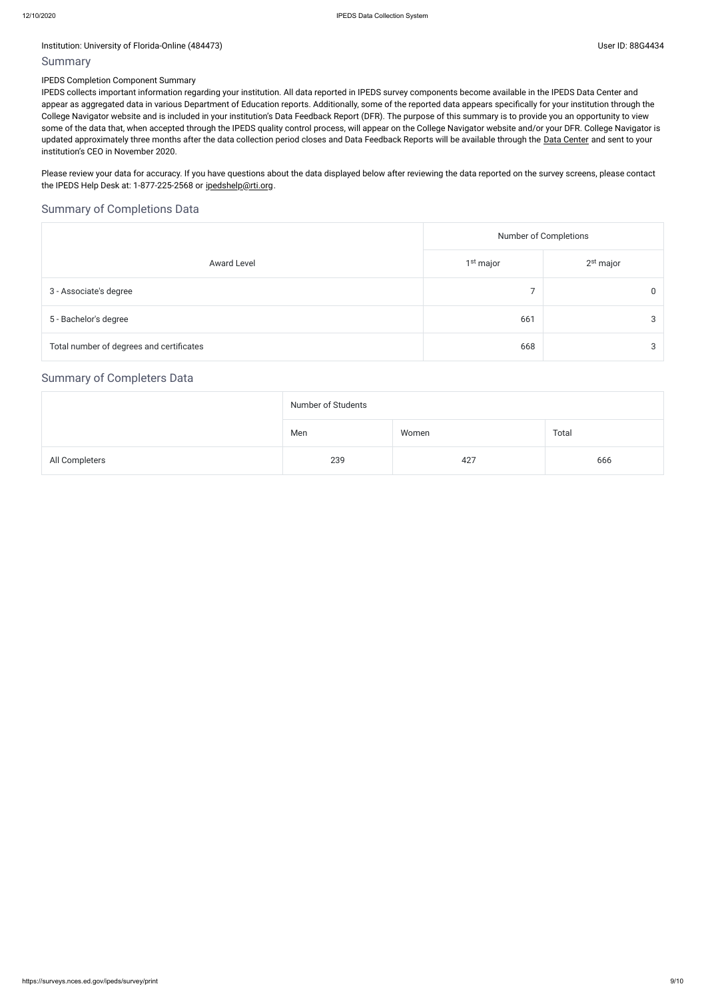#### Institution: University of Florida-Online (484473) Subset ID: 88G4434

## Summary

### IPEDS Completion Component Summary

Please review your data for accuracy. If you have questions about the data displayed below after reviewing the data reported on the survey screens, please contact the IPEDS Help Desk at: 1-877-225-2568 or [ipedshelp@rti.org](mailto:ipedshelp@rti.org).

IPEDS collects important information regarding your institution. All data reported in IPEDS survey components become available in the IPEDS Data Center and appear as aggregated data in various Department of Education reports. Additionally, some of the reported data appears specifically for your institution through the College Navigator website and is included in your institution's Data Feedback Report (DFR). The purpose of this summary is to provide you an opportunity to view some of the data that, when accepted through the IPEDS quality control process, will appear on the College Navigator website and/or your DFR. College Navigator is updated approximately three months after the data collection period closes and Data Feedback Reports will be available through the Data [Center](https://nces.ed.gov/ipeds/use-the-data) and sent to your institution's CEO in November 2020.

## Summary of Completions Data

|                                          | Number of Completions |                       |  |  |
|------------------------------------------|-----------------------|-----------------------|--|--|
| <b>Award Level</b>                       | 1 <sup>st</sup> major | 2 <sup>st</sup> major |  |  |
| 3 - Associate's degree                   |                       |                       |  |  |
| 5 - Bachelor's degree                    | 661                   |                       |  |  |
| Total number of degrees and certificates | 668                   |                       |  |  |

## Summary of Completers Data

|                | Number of Students |       |       |
|----------------|--------------------|-------|-------|
|                | Men                | Women | Total |
| All Completers | 239                | 427   | 666   |